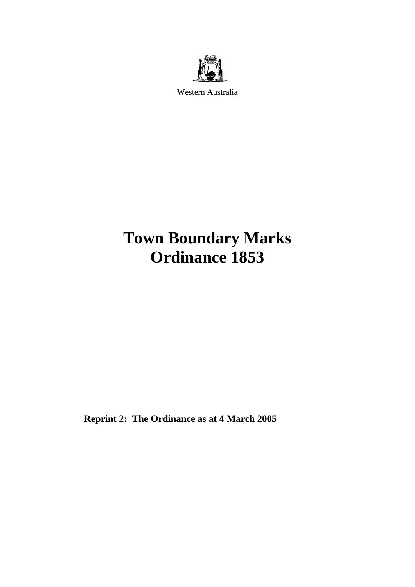

Western Australia

# **Town Boundary Marks Ordinance 1853**

**Reprint 2: The Ordinance as at 4 March 2005**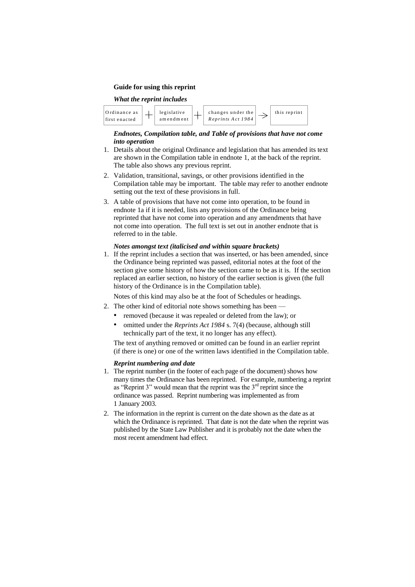#### **Guide for using this reprint**

#### *What the reprint includes*



#### *Endnotes, Compilation table, and Table of provisions that have not come into operation*

- 1. Details about the original Ordinance and legislation that has amended its text are shown in the Compilation table in endnote 1, at the back of the reprint. The table also shows any previous reprint.
- 2. Validation, transitional, savings, or other provisions identified in the Compilation table may be important. The table may refer to another endnote setting out the text of these provisions in full.
- 3. A table of provisions that have not come into operation, to be found in endnote 1a if it is needed, lists any provisions of the Ordinance being reprinted that have not come into operation and any amendments that have not come into operation. The full text is set out in another endnote that is referred to in the table.

#### *Notes amongst text (italicised and within square brackets)*

1. If the reprint includes a section that was inserted, or has been amended, since the Ordinance being reprinted was passed, editorial notes at the foot of the section give some history of how the section came to be as it is. If the section replaced an earlier section, no history of the earlier section is given (the full history of the Ordinance is in the Compilation table).

Notes of this kind may also be at the foot of Schedules or headings.

- 2. The other kind of editorial note shows something has been
	- removed (because it was repealed or deleted from the law); or
	- omitted under the *Reprints Act 1984* s. 7(4) (because, although still technically part of the text, it no longer has any effect).

The text of anything removed or omitted can be found in an earlier reprint (if there is one) or one of the written laws identified in the Compilation table.

#### *Reprint numbering and date*

- 1. The reprint number (in the footer of each page of the document) shows how many times the Ordinance has been reprinted. For example, numbering a reprint as "Reprint 3" would mean that the reprint was the  $3<sup>rd</sup>$  reprint since the ordinance was passed. Reprint numbering was implemented as from 1 January 2003.
- 2. The information in the reprint is current on the date shown as the date as at which the Ordinance is reprinted. That date is not the date when the reprint was published by the State Law Publisher and it is probably not the date when the most recent amendment had effect.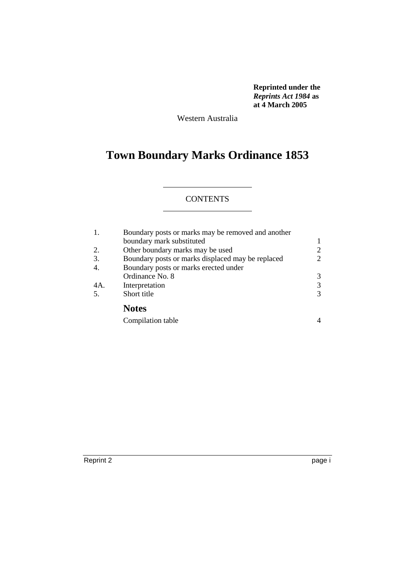**Reprinted under the**  *Reprints Act 1984* **as at 4 March 2005**

Western Australia

# **Town Boundary Marks Ordinance 1853**

## **CONTENTS**

| 1.  | Boundary posts or marks may be removed and another |                |  |  |  |
|-----|----------------------------------------------------|----------------|--|--|--|
|     | boundary mark substituted                          |                |  |  |  |
| 2.  | Other boundary marks may be used                   | $\overline{2}$ |  |  |  |
| 3.  | Boundary posts or marks displaced may be replaced  | $\overline{c}$ |  |  |  |
| 4.  | Boundary posts or marks erected under              |                |  |  |  |
|     | Ordinance No. 8                                    | 3              |  |  |  |
| 4A. | Interpretation                                     | 3              |  |  |  |
| 5.  | Short title                                        | 3              |  |  |  |
|     | <b>Notes</b>                                       |                |  |  |  |
|     | Compilation table                                  |                |  |  |  |

Reprint 2 page i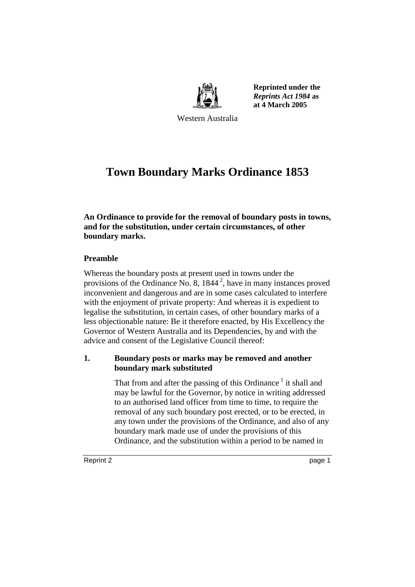

**Reprinted under the**  *Reprints Act 1984* **as at 4 March 2005**

Western Australia

# **Town Boundary Marks Ordinance 1853**

**An Ordinance to provide for the removal of boundary posts in towns, and for the substitution, under certain circumstances, of other boundary marks.**

# **Preamble**

Whereas the boundary posts at present used in towns under the provisions of the Ordinance No. 8,  $1844^2$ , have in many instances proved inconvenient and dangerous and are in some cases calculated to interfere with the enjoyment of private property: And whereas it is expedient to legalise the substitution, in certain cases, of other boundary marks of a less objectionable nature: Be it therefore enacted, by His Excellency the Governor of Western Australia and its Dependencies, by and with the advice and consent of the Legislative Council thereof:

# **1. Boundary posts or marks may be removed and another boundary mark substituted**

That from and after the passing of this Ordinance<sup>1</sup> it shall and may be lawful for the Governor, by notice in writing addressed to an authorised land officer from time to time, to require the removal of any such boundary post erected, or to be erected, in any town under the provisions of the Ordinance, and also of any boundary mark made use of under the provisions of this Ordinance, and the substitution within a period to be named in

Reprint 2 page 1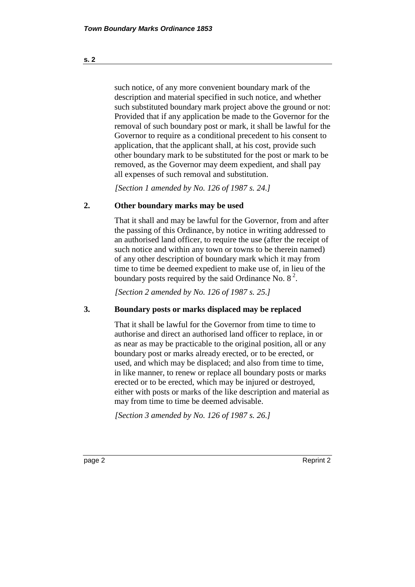such notice, of any more convenient boundary mark of the description and material specified in such notice, and whether such substituted boundary mark project above the ground or not: Provided that if any application be made to the Governor for the removal of such boundary post or mark, it shall be lawful for the Governor to require as a conditional precedent to his consent to application, that the applicant shall, at his cost, provide such other boundary mark to be substituted for the post or mark to be removed, as the Governor may deem expedient, and shall pay all expenses of such removal and substitution.

*[Section 1 amended by No. 126 of 1987 s. 24.]* 

#### **2. Other boundary marks may be used**

That it shall and may be lawful for the Governor, from and after the passing of this Ordinance, by notice in writing addressed to an authorised land officer, to require the use (after the receipt of such notice and within any town or towns to be therein named) of any other description of boundary mark which it may from time to time be deemed expedient to make use of, in lieu of the boundary posts required by the said Ordinance No. 8<sup>2</sup>.

*[Section 2 amended by No. 126 of 1987 s. 25.]* 

#### **3. Boundary posts or marks displaced may be replaced**

That it shall be lawful for the Governor from time to time to authorise and direct an authorised land officer to replace, in or as near as may be practicable to the original position, all or any boundary post or marks already erected, or to be erected, or used, and which may be displaced; and also from time to time, in like manner, to renew or replace all boundary posts or marks erected or to be erected, which may be injured or destroyed, either with posts or marks of the like description and material as may from time to time be deemed advisable.

*[Section 3 amended by No. 126 of 1987 s. 26.]* 

**s. 2**

page 2 Reprint 2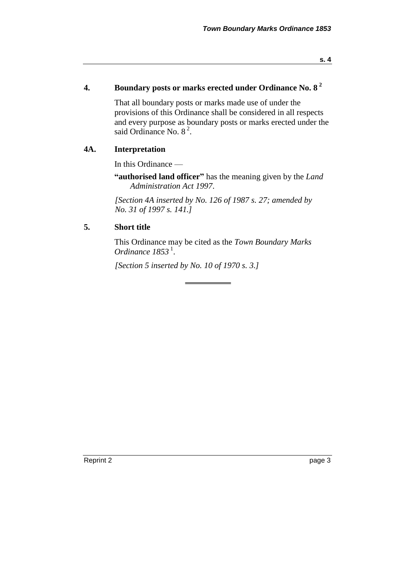## **4. Boundary posts or marks erected under Ordinance No. 8 <sup>2</sup>**

That all boundary posts or marks made use of under the provisions of this Ordinance shall be considered in all respects and every purpose as boundary posts or marks erected under the said Ordinance No. 8<sup>2</sup>.

#### **4A. Interpretation**

In this Ordinance —

**"authorised land officer"** has the meaning given by the *Land Administration Act 1997*.

*[Section 4A inserted by No. 126 of 1987 s. 27; amended by No. 31 of 1997 s. 141.]* 

## **5. Short title**

This Ordinance may be cited as the *Town Boundary Marks Ordinance* 1853<sup>1</sup>.

*[Section 5 inserted by No. 10 of 1970 s. 3.]* 

Reprint 2 page 3